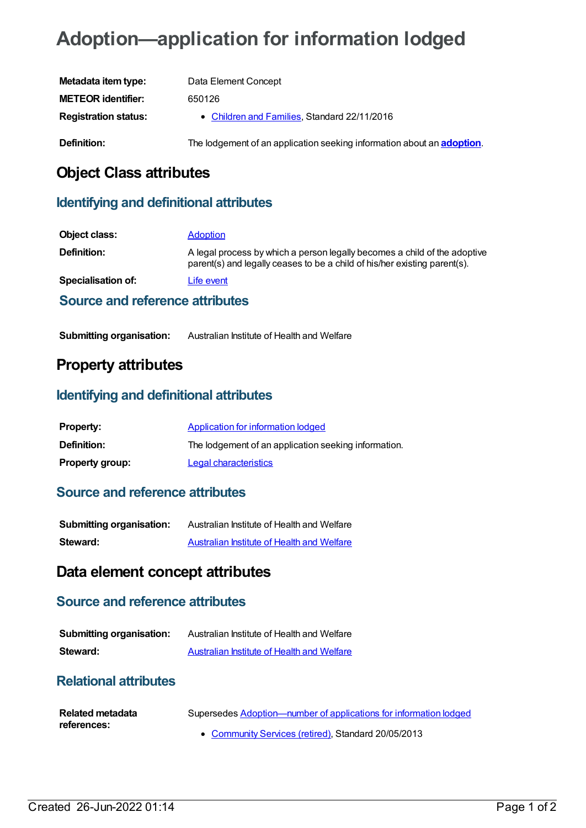# **Adoption—application for information lodged**

| Metadata item type:         | Data Element Concept                                                           |
|-----------------------------|--------------------------------------------------------------------------------|
| <b>METEOR identifier:</b>   | 650126                                                                         |
| <b>Registration status:</b> | • Children and Families, Standard 22/11/2016                                   |
| Definition:                 | The lodgement of an application seeking information about an <b>adoption</b> . |

## **Object Class attributes**

#### **Identifying and definitional attributes**

| Object class:                    | <b>Adoption</b>                                                                                                                                        |
|----------------------------------|--------------------------------------------------------------------------------------------------------------------------------------------------------|
| Definition:                      | A legal process by which a person legally becomes a child of the adoptive<br>parent(s) and legally ceases to be a child of his/her existing parent(s). |
| Specialisation of:               | Life event                                                                                                                                             |
| Carmen and mafamoran attullanten |                                                                                                                                                        |

## **Source and reference attributes**

| <b>Submitting organisation:</b> | Australian Institute of Health and Welfare |
|---------------------------------|--------------------------------------------|
|---------------------------------|--------------------------------------------|

#### **Property attributes**

#### **Identifying and definitional attributes**

| <b>Property:</b>       | <b>Application for information lodged</b>            |
|------------------------|------------------------------------------------------|
| <b>Definition:</b>     | The lodgement of an application seeking information. |
| <b>Property group:</b> | Legal characteristics                                |

#### **Source and reference attributes**

| <b>Submitting organisation:</b> | Australian Institute of Health and Welfare        |
|---------------------------------|---------------------------------------------------|
| Steward:                        | <b>Australian Institute of Health and Welfare</b> |

### **Data element concept attributes**

#### **Source and reference attributes**

| <b>Submitting organisation:</b> | Australian Institute of Health and Welfare |
|---------------------------------|--------------------------------------------|
| Steward:                        | Australian Institute of Health and Welfare |

#### **Relational attributes**

| <b>Related metadata</b> | Supersedes Adoption—number of applications for information lodged |
|-------------------------|-------------------------------------------------------------------|
| references:             | • Community Services (retired), Standard 20/05/2013               |